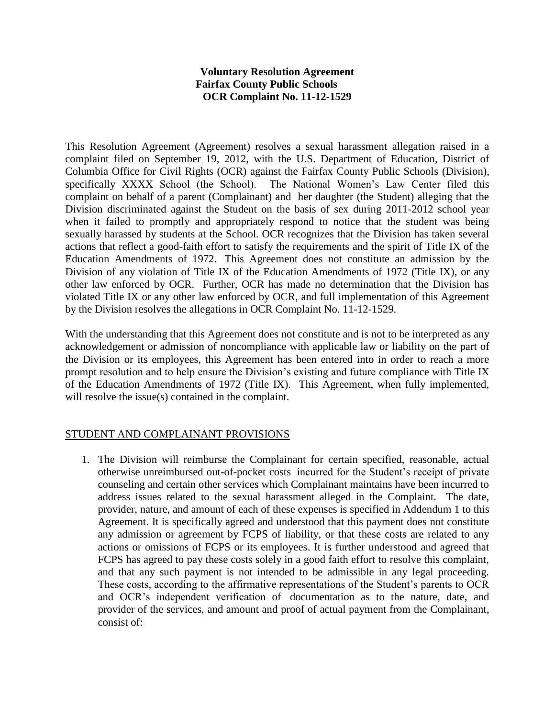#### **Voluntary Resolution Agreement Fairfax County Public Schools OCR Complaint No. 11-12-1529**

This Resolution Agreement (Agreement) resolves a sexual harassment allegation raised in a complaint filed on September 19, 2012, with the U.S. Department of Education, District of Columbia Office for Civil Rights (OCR) against the Fairfax County Public Schools (Division), specifically XXXX School (the School). The National Women's Law Center filed this complaint on behalf of a parent (Complainant) and her daughter (the Student) alleging that the Division discriminated against the Student on the basis of sex during 2011-2012 school year when it failed to promptly and appropriately respond to notice that the student was being sexually harassed by students at the School. OCR recognizes that the Division has taken several actions that reflect a good-faith effort to satisfy the requirements and the spirit of Title IX of the Education Amendments of 1972. This Agreement does not constitute an admission by the Division of any violation of Title IX of the Education Amendments of 1972 (Title IX), or any other law enforced by OCR. Further, OCR has made no determination that the Division has violated Title IX or any other law enforced by OCR, and full implementation of this Agreement by the Division resolves the allegations in OCR Complaint No. 11-12-1529.

With the understanding that this Agreement does not constitute and is not to be interpreted as any acknowledgement or admission of noncompliance with applicable law or liability on the part of the Division or its employees, this Agreement has been entered into in order to reach a more prompt resolution and to help ensure the Division's existing and future compliance with Title IX of the Education Amendments of 1972 (Title IX). This Agreement, when fully implemented, will resolve the issue(s) contained in the complaint.

### STUDENT AND COMPLAINANT PROVISIONS

1. The Division will reimburse the Complainant for certain specified, reasonable, actual otherwise unreimbursed out-of-pocket costs incurred for the Student's receipt of private counseling and certain other services which Complainant maintains have been incurred to address issues related to the sexual harassment alleged in the Complaint. The date, provider, nature, and amount of each of these expenses is specified in Addendum 1 to this Agreement. It is specifically agreed and understood that this payment does not constitute any admission or agreement by FCPS of liability, or that these costs are related to any actions or omissions of FCPS or its employees. It is further understood and agreed that FCPS has agreed to pay these costs solely in a good faith effort to resolve this complaint, and that any such payment is not intended to be admissible in any legal proceeding. These costs, according to the affirmative representations of the Student's parents to OCR and OCR's independent verification of documentation as to the nature, date, and provider of the services, and amount and proof of actual payment from the Complainant, consist of: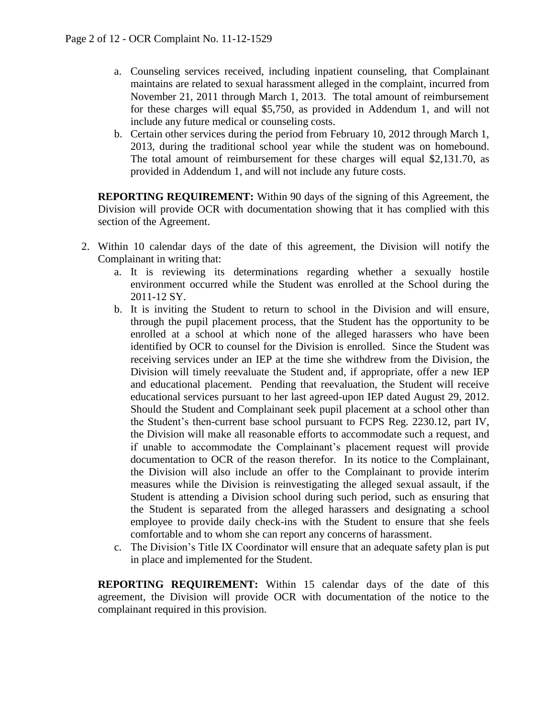- a. Counseling services received, including inpatient counseling, that Complainant maintains are related to sexual harassment alleged in the complaint, incurred from November 21, 2011 through March 1, 2013. The total amount of reimbursement for these charges will equal \$5,750, as provided in Addendum 1, and will not include any future medical or counseling costs.
- b. Certain other services during the period from February 10, 2012 through March 1, 2013, during the traditional school year while the student was on homebound. The total amount of reimbursement for these charges will equal \$2,131.70, as provided in Addendum 1, and will not include any future costs.

**REPORTING REQUIREMENT:** Within 90 days of the signing of this Agreement, the Division will provide OCR with documentation showing that it has complied with this section of the Agreement.

- 2. Within 10 calendar days of the date of this agreement, the Division will notify the Complainant in writing that:
	- a. It is reviewing its determinations regarding whether a sexually hostile environment occurred while the Student was enrolled at the School during the 2011-12 SY.
	- b. It is inviting the Student to return to school in the Division and will ensure, through the pupil placement process, that the Student has the opportunity to be enrolled at a school at which none of the alleged harassers who have been identified by OCR to counsel for the Division is enrolled. Since the Student was receiving services under an IEP at the time she withdrew from the Division, the Division will timely reevaluate the Student and, if appropriate, offer a new IEP and educational placement. Pending that reevaluation, the Student will receive educational services pursuant to her last agreed-upon IEP dated August 29, 2012. Should the Student and Complainant seek pupil placement at a school other than the Student's then-current base school pursuant to FCPS Reg. 2230.12, part IV, the Division will make all reasonable efforts to accommodate such a request, and if unable to accommodate the Complainant's placement request will provide documentation to OCR of the reason therefor. In its notice to the Complainant, the Division will also include an offer to the Complainant to provide interim measures while the Division is reinvestigating the alleged sexual assault, if the Student is attending a Division school during such period, such as ensuring that the Student is separated from the alleged harassers and designating a school employee to provide daily check-ins with the Student to ensure that she feels comfortable and to whom she can report any concerns of harassment.
	- c. The Division's Title IX Coordinator will ensure that an adequate safety plan is put in place and implemented for the Student.

**REPORTING REQUIREMENT:** Within 15 calendar days of the date of this agreement, the Division will provide OCR with documentation of the notice to the complainant required in this provision.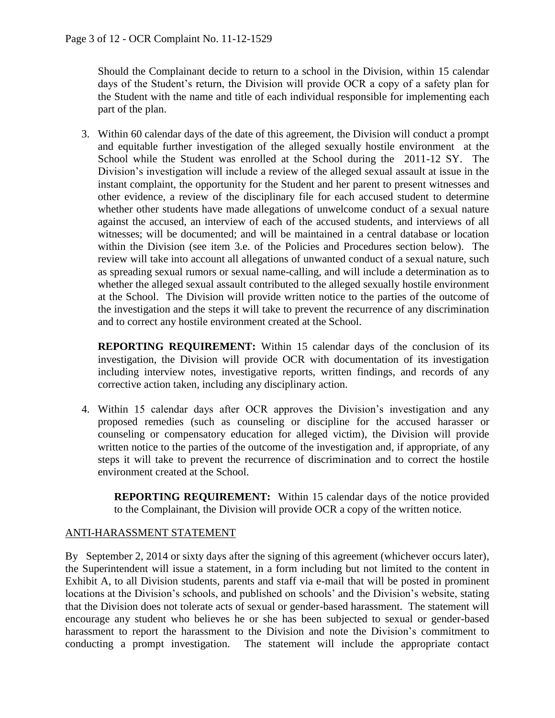Should the Complainant decide to return to a school in the Division, within 15 calendar days of the Student's return, the Division will provide OCR a copy of a safety plan for the Student with the name and title of each individual responsible for implementing each part of the plan.

3. Within 60 calendar days of the date of this agreement, the Division will conduct a prompt and equitable further investigation of the alleged sexually hostile environment at the School while the Student was enrolled at the School during the 2011-12 SY. The Division's investigation will include a review of the alleged sexual assault at issue in the instant complaint, the opportunity for the Student and her parent to present witnesses and other evidence, a review of the disciplinary file for each accused student to determine whether other students have made allegations of unwelcome conduct of a sexual nature against the accused, an interview of each of the accused students, and interviews of all witnesses; will be documented; and will be maintained in a central database or location within the Division (see item 3.e. of the Policies and Procedures section below). The review will take into account all allegations of unwanted conduct of a sexual nature, such as spreading sexual rumors or sexual name-calling, and will include a determination as to whether the alleged sexual assault contributed to the alleged sexually hostile environment at the School. The Division will provide written notice to the parties of the outcome of the investigation and the steps it will take to prevent the recurrence of any discrimination and to correct any hostile environment created at the School.

**REPORTING REQUIREMENT:** Within 15 calendar days of the conclusion of its investigation, the Division will provide OCR with documentation of its investigation including interview notes, investigative reports, written findings, and records of any corrective action taken, including any disciplinary action.

4. Within 15 calendar days after OCR approves the Division's investigation and any proposed remedies (such as counseling or discipline for the accused harasser or counseling or compensatory education for alleged victim), the Division will provide written notice to the parties of the outcome of the investigation and, if appropriate, of any steps it will take to prevent the recurrence of discrimination and to correct the hostile environment created at the School.

**REPORTING REQUIREMENT:** Within 15 calendar days of the notice provided to the Complainant, the Division will provide OCR a copy of the written notice.

# ANTI-HARASSMENT STATEMENT

By September 2, 2014 or sixty days after the signing of this agreement (whichever occurs later), the Superintendent will issue a statement, in a form including but not limited to the content in Exhibit A, to all Division students, parents and staff via e-mail that will be posted in prominent locations at the Division's schools, and published on schools' and the Division's website, stating that the Division does not tolerate acts of sexual or gender-based harassment. The statement will encourage any student who believes he or she has been subjected to sexual or gender-based harassment to report the harassment to the Division and note the Division's commitment to conducting a prompt investigation. The statement will include the appropriate contact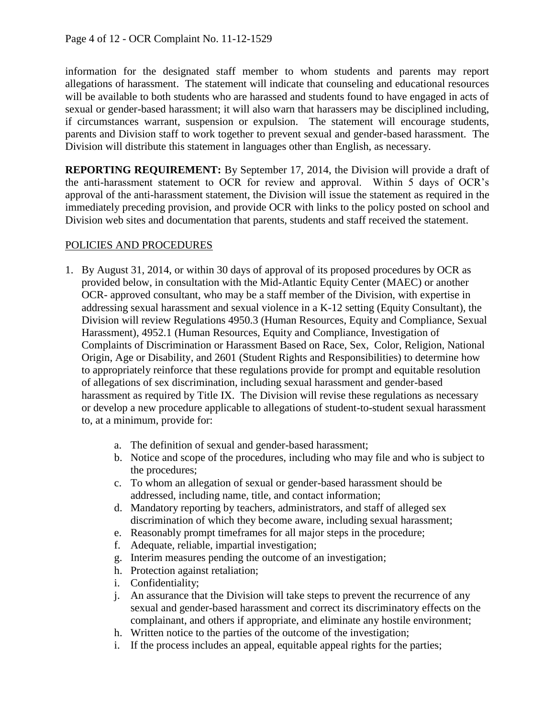information for the designated staff member to whom students and parents may report allegations of harassment. The statement will indicate that counseling and educational resources will be available to both students who are harassed and students found to have engaged in acts of sexual or gender-based harassment; it will also warn that harassers may be disciplined including, if circumstances warrant, suspension or expulsion. The statement will encourage students, parents and Division staff to work together to prevent sexual and gender-based harassment. The Division will distribute this statement in languages other than English, as necessary.

**REPORTING REQUIREMENT:** By September 17, 2014, the Division will provide a draft of the anti-harassment statement to OCR for review and approval. Within 5 days of OCR's approval of the anti-harassment statement, the Division will issue the statement as required in the immediately preceding provision, and provide OCR with links to the policy posted on school and Division web sites and documentation that parents, students and staff received the statement.

## POLICIES AND PROCEDURES

- 1. By August 31, 2014, or within 30 days of approval of its proposed procedures by OCR as provided below, in consultation with the Mid-Atlantic Equity Center (MAEC) or another OCR- approved consultant, who may be a staff member of the Division, with expertise in addressing sexual harassment and sexual violence in a K-12 setting (Equity Consultant), the Division will review Regulations 4950.3 (Human Resources, Equity and Compliance, Sexual Harassment), 4952.1 (Human Resources, Equity and Compliance, Investigation of Complaints of Discrimination or Harassment Based on Race, Sex, Color, Religion, National Origin, Age or Disability, and 2601 (Student Rights and Responsibilities) to determine how to appropriately reinforce that these regulations provide for prompt and equitable resolution of allegations of sex discrimination, including sexual harassment and gender-based harassment as required by Title IX. The Division will revise these regulations as necessary or develop a new procedure applicable to allegations of student-to-student sexual harassment to, at a minimum, provide for:
	- a. The definition of sexual and gender-based harassment;
	- b. Notice and scope of the procedures, including who may file and who is subject to the procedures;
	- c. To whom an allegation of sexual or gender-based harassment should be addressed, including name, title, and contact information;
	- d. Mandatory reporting by teachers, administrators, and staff of alleged sex discrimination of which they become aware, including sexual harassment;
	- e. Reasonably prompt timeframes for all major steps in the procedure;
	- f. Adequate, reliable, impartial investigation;
	- g. Interim measures pending the outcome of an investigation;
	- h. Protection against retaliation;
	- i. Confidentiality;
	- j. An assurance that the Division will take steps to prevent the recurrence of any sexual and gender-based harassment and correct its discriminatory effects on the complainant, and others if appropriate, and eliminate any hostile environment;
	- h. Written notice to the parties of the outcome of the investigation;
	- i. If the process includes an appeal, equitable appeal rights for the parties;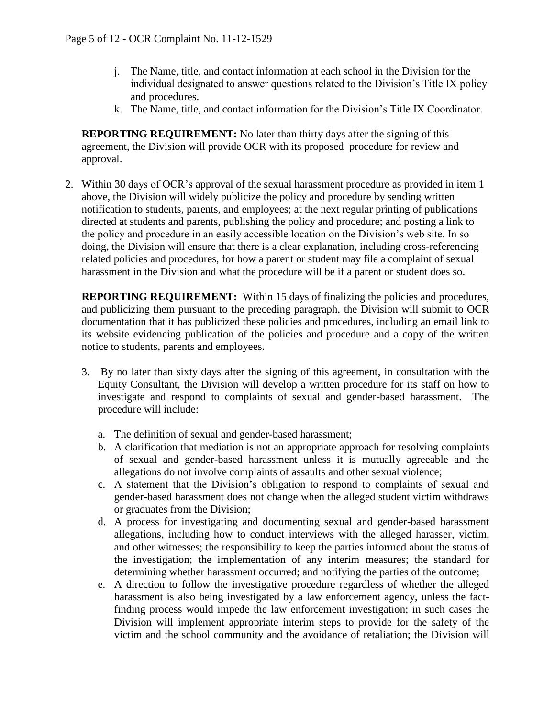- j. The Name, title, and contact information at each school in the Division for the individual designated to answer questions related to the Division's Title IX policy and procedures.
- k. The Name, title, and contact information for the Division's Title IX Coordinator.

**REPORTING REQUIREMENT:** No later than thirty days after the signing of this agreement, the Division will provide OCR with its proposed procedure for review and approval.

2. Within 30 days of OCR's approval of the sexual harassment procedure as provided in item 1 above, the Division will widely publicize the policy and procedure by sending written notification to students, parents, and employees; at the next regular printing of publications directed at students and parents, publishing the policy and procedure; and posting a link to the policy and procedure in an easily accessible location on the Division's web site. In so doing, the Division will ensure that there is a clear explanation, including cross-referencing related policies and procedures, for how a parent or student may file a complaint of sexual harassment in the Division and what the procedure will be if a parent or student does so.

**REPORTING REQUIREMENT:** Within 15 days of finalizing the policies and procedures, and publicizing them pursuant to the preceding paragraph, the Division will submit to OCR documentation that it has publicized these policies and procedures, including an email link to its website evidencing publication of the policies and procedure and a copy of the written notice to students, parents and employees.

- 3. By no later than sixty days after the signing of this agreement, in consultation with the Equity Consultant, the Division will develop a written procedure for its staff on how to investigate and respond to complaints of sexual and gender-based harassment. The procedure will include:
	- a. The definition of sexual and gender-based harassment;
	- b. A clarification that mediation is not an appropriate approach for resolving complaints of sexual and gender-based harassment unless it is mutually agreeable and the allegations do not involve complaints of assaults and other sexual violence;
	- c. A statement that the Division's obligation to respond to complaints of sexual and gender-based harassment does not change when the alleged student victim withdraws or graduates from the Division;
	- d. A process for investigating and documenting sexual and gender-based harassment allegations, including how to conduct interviews with the alleged harasser, victim, and other witnesses; the responsibility to keep the parties informed about the status of the investigation; the implementation of any interim measures; the standard for determining whether harassment occurred; and notifying the parties of the outcome;
	- e. A direction to follow the investigative procedure regardless of whether the alleged harassment is also being investigated by a law enforcement agency, unless the factfinding process would impede the law enforcement investigation; in such cases the Division will implement appropriate interim steps to provide for the safety of the victim and the school community and the avoidance of retaliation; the Division will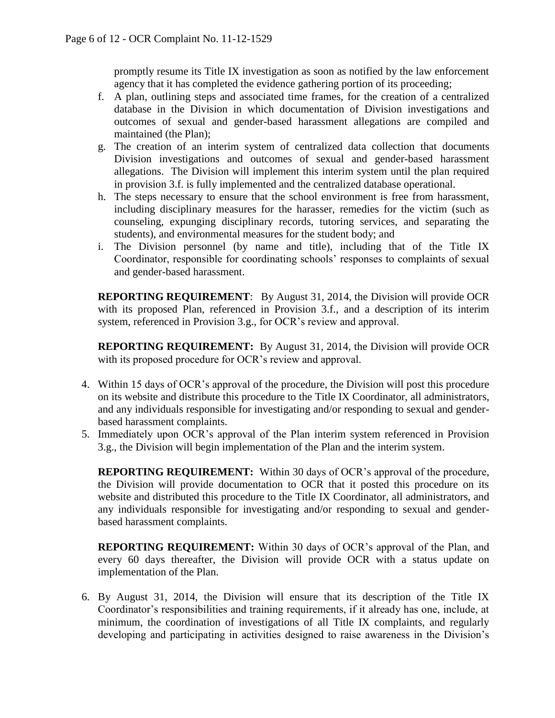promptly resume its Title IX investigation as soon as notified by the law enforcement agency that it has completed the evidence gathering portion of its proceeding;

- f. A plan, outlining steps and associated time frames, for the creation of a centralized database in the Division in which documentation of Division investigations and outcomes of sexual and gender-based harassment allegations are compiled and maintained (the Plan);
- g. The creation of an interim system of centralized data collection that documents Division investigations and outcomes of sexual and gender-based harassment allegations. The Division will implement this interim system until the plan required in provision 3.f. is fully implemented and the centralized database operational.
- h. The steps necessary to ensure that the school environment is free from harassment, including disciplinary measures for the harasser, remedies for the victim (such as counseling, expunging disciplinary records, tutoring services, and separating the students), and environmental measures for the student body; and
- i. The Division personnel (by name and title), including that of the Title IX Coordinator, responsible for coordinating schools' responses to complaints of sexual and gender-based harassment.

**REPORTING REQUIREMENT**: By August 31, 2014, the Division will provide OCR with its proposed Plan, referenced in Provision 3.f., and a description of its interim system, referenced in Provision 3.g., for OCR's review and approval.

**REPORTING REQUIREMENT:** By August 31, 2014, the Division will provide OCR with its proposed procedure for OCR's review and approval.

- 4. Within 15 days of OCR's approval of the procedure, the Division will post this procedure on its website and distribute this procedure to the Title IX Coordinator, all administrators, and any individuals responsible for investigating and/or responding to sexual and genderbased harassment complaints.
- 5. Immediately upon OCR's approval of the Plan interim system referenced in Provision 3.g., the Division will begin implementation of the Plan and the interim system.

**REPORTING REQUIREMENT:** Within 30 days of OCR's approval of the procedure, the Division will provide documentation to OCR that it posted this procedure on its website and distributed this procedure to the Title IX Coordinator, all administrators, and any individuals responsible for investigating and/or responding to sexual and genderbased harassment complaints.

**REPORTING REQUIREMENT:** Within 30 days of OCR's approval of the Plan, and every 60 days thereafter, the Division will provide OCR with a status update on implementation of the Plan.

6. By August 31, 2014, the Division will ensure that its description of the Title IX Coordinator's responsibilities and training requirements, if it already has one, include, at minimum, the coordination of investigations of all Title IX complaints, and regularly developing and participating in activities designed to raise awareness in the Division's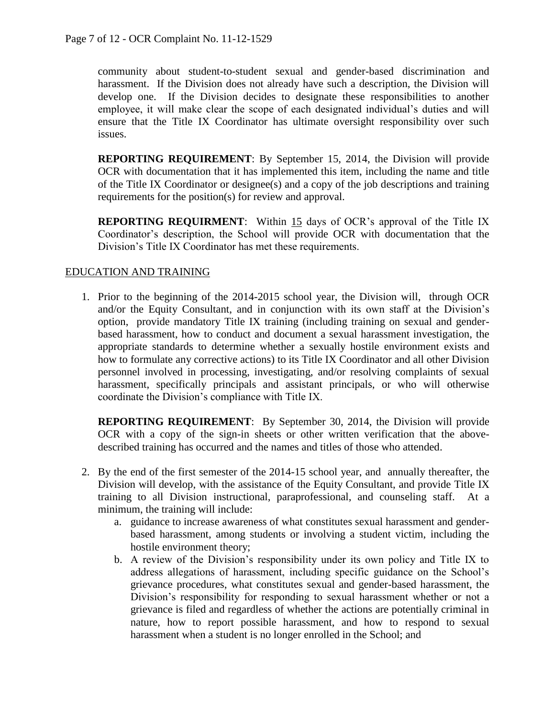community about student-to-student sexual and gender-based discrimination and harassment. If the Division does not already have such a description, the Division will develop one. If the Division decides to designate these responsibilities to another employee, it will make clear the scope of each designated individual's duties and will ensure that the Title IX Coordinator has ultimate oversight responsibility over such issues.

**REPORTING REQUIREMENT**: By September 15, 2014, the Division will provide OCR with documentation that it has implemented this item, including the name and title of the Title IX Coordinator or designee(s) and a copy of the job descriptions and training requirements for the position(s) for review and approval.

**REPORTING REQUIRMENT**: Within 15 days of OCR's approval of the Title IX Coordinator's description, the School will provide OCR with documentation that the Division's Title IX Coordinator has met these requirements.

### EDUCATION AND TRAINING

1. Prior to the beginning of the 2014-2015 school year, the Division will, through OCR and/or the Equity Consultant, and in conjunction with its own staff at the Division's option, provide mandatory Title IX training (including training on sexual and genderbased harassment, how to conduct and document a sexual harassment investigation, the appropriate standards to determine whether a sexually hostile environment exists and how to formulate any corrective actions) to its Title IX Coordinator and all other Division personnel involved in processing, investigating, and/or resolving complaints of sexual harassment, specifically principals and assistant principals, or who will otherwise coordinate the Division's compliance with Title IX.

**REPORTING REQUIREMENT**: By September 30, 2014, the Division will provide OCR with a copy of the sign-in sheets or other written verification that the abovedescribed training has occurred and the names and titles of those who attended.

- 2. By the end of the first semester of the 2014-15 school year, and annually thereafter, the Division will develop, with the assistance of the Equity Consultant, and provide Title IX training to all Division instructional, paraprofessional, and counseling staff. At a minimum, the training will include:
	- a. guidance to increase awareness of what constitutes sexual harassment and genderbased harassment, among students or involving a student victim, including the hostile environment theory;
	- b. A review of the Division's responsibility under its own policy and Title IX to address allegations of harassment, including specific guidance on the School's grievance procedures, what constitutes sexual and gender-based harassment, the Division's responsibility for responding to sexual harassment whether or not a grievance is filed and regardless of whether the actions are potentially criminal in nature, how to report possible harassment, and how to respond to sexual harassment when a student is no longer enrolled in the School; and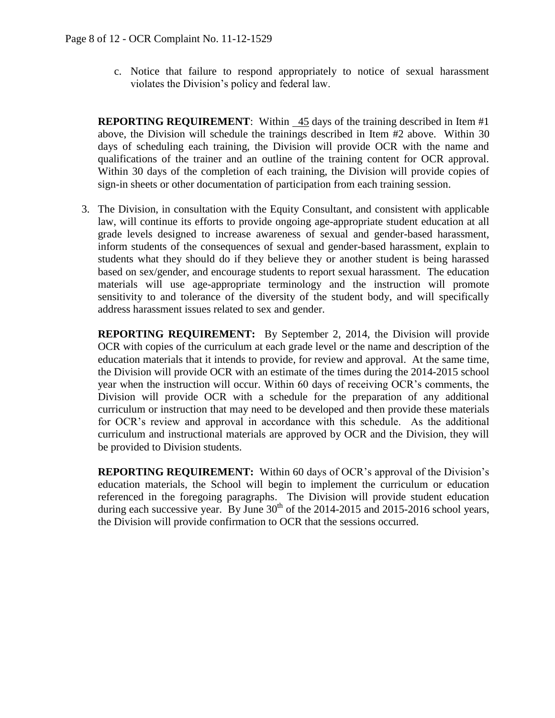c. Notice that failure to respond appropriately to notice of sexual harassment violates the Division's policy and federal law.

**REPORTING REQUIREMENT:** Within 45 days of the training described in Item #1 above, the Division will schedule the trainings described in Item #2 above. Within 30 days of scheduling each training, the Division will provide OCR with the name and qualifications of the trainer and an outline of the training content for OCR approval. Within 30 days of the completion of each training, the Division will provide copies of sign-in sheets or other documentation of participation from each training session.

3. The Division, in consultation with the Equity Consultant, and consistent with applicable law, will continue its efforts to provide ongoing age-appropriate student education at all grade levels designed to increase awareness of sexual and gender-based harassment, inform students of the consequences of sexual and gender-based harassment, explain to students what they should do if they believe they or another student is being harassed based on sex/gender, and encourage students to report sexual harassment. The education materials will use age-appropriate terminology and the instruction will promote sensitivity to and tolerance of the diversity of the student body, and will specifically address harassment issues related to sex and gender.

**REPORTING REQUIREMENT:** By September 2, 2014, the Division will provide OCR with copies of the curriculum at each grade level or the name and description of the education materials that it intends to provide, for review and approval. At the same time, the Division will provide OCR with an estimate of the times during the 2014-2015 school year when the instruction will occur. Within 60 days of receiving OCR's comments, the Division will provide OCR with a schedule for the preparation of any additional curriculum or instruction that may need to be developed and then provide these materials for OCR's review and approval in accordance with this schedule. As the additional curriculum and instructional materials are approved by OCR and the Division, they will be provided to Division students.

**REPORTING REQUIREMENT:** Within 60 days of OCR's approval of the Division's education materials, the School will begin to implement the curriculum or education referenced in the foregoing paragraphs. The Division will provide student education during each successive year. By June  $30<sup>th</sup>$  of the 2014-2015 and 2015-2016 school years, the Division will provide confirmation to OCR that the sessions occurred.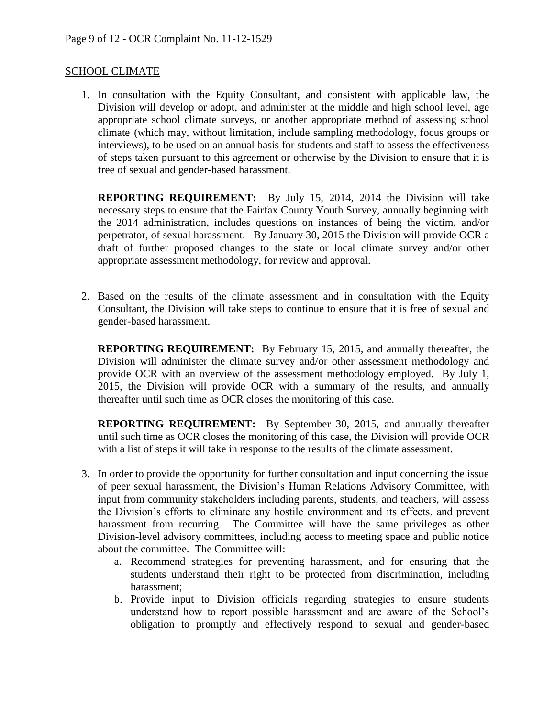#### SCHOOL CLIMATE

1. In consultation with the Equity Consultant, and consistent with applicable law, the Division will develop or adopt, and administer at the middle and high school level, age appropriate school climate surveys, or another appropriate method of assessing school climate (which may, without limitation, include sampling methodology, focus groups or interviews), to be used on an annual basis for students and staff to assess the effectiveness of steps taken pursuant to this agreement or otherwise by the Division to ensure that it is free of sexual and gender-based harassment.

**REPORTING REQUIREMENT:** By July 15, 2014, 2014 the Division will take necessary steps to ensure that the Fairfax County Youth Survey, annually beginning with the 2014 administration, includes questions on instances of being the victim, and/or perpetrator, of sexual harassment. By January 30, 2015 the Division will provide OCR a draft of further proposed changes to the state or local climate survey and/or other appropriate assessment methodology, for review and approval.

2. Based on the results of the climate assessment and in consultation with the Equity Consultant, the Division will take steps to continue to ensure that it is free of sexual and gender-based harassment.

**REPORTING REQUIREMENT:** By February 15, 2015, and annually thereafter, the Division will administer the climate survey and/or other assessment methodology and provide OCR with an overview of the assessment methodology employed. By July 1, 2015, the Division will provide OCR with a summary of the results, and annually thereafter until such time as OCR closes the monitoring of this case.

**REPORTING REQUIREMENT:** By September 30, 2015, and annually thereafter until such time as OCR closes the monitoring of this case, the Division will provide OCR with a list of steps it will take in response to the results of the climate assessment.

- 3. In order to provide the opportunity for further consultation and input concerning the issue of peer sexual harassment, the Division's Human Relations Advisory Committee, with input from community stakeholders including parents, students, and teachers, will assess the Division's efforts to eliminate any hostile environment and its effects, and prevent harassment from recurring. The Committee will have the same privileges as other Division-level advisory committees, including access to meeting space and public notice about the committee. The Committee will:
	- a. Recommend strategies for preventing harassment, and for ensuring that the students understand their right to be protected from discrimination, including harassment;
	- b. Provide input to Division officials regarding strategies to ensure students understand how to report possible harassment and are aware of the School's obligation to promptly and effectively respond to sexual and gender-based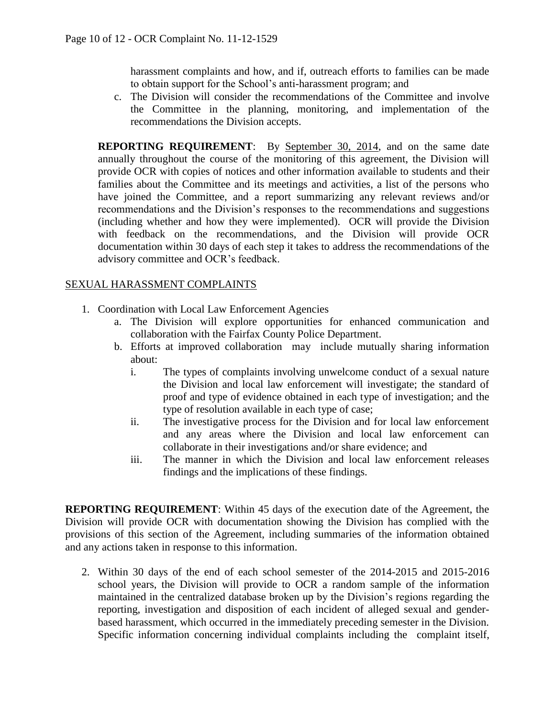harassment complaints and how, and if, outreach efforts to families can be made to obtain support for the School's anti-harassment program; and

c. The Division will consider the recommendations of the Committee and involve the Committee in the planning, monitoring, and implementation of the recommendations the Division accepts.

**REPORTING REQUIREMENT:** By September 30, 2014, and on the same date annually throughout the course of the monitoring of this agreement, the Division will provide OCR with copies of notices and other information available to students and their families about the Committee and its meetings and activities, a list of the persons who have joined the Committee, and a report summarizing any relevant reviews and/or recommendations and the Division's responses to the recommendations and suggestions (including whether and how they were implemented). OCR will provide the Division with feedback on the recommendations, and the Division will provide OCR documentation within 30 days of each step it takes to address the recommendations of the advisory committee and OCR's feedback.

### SEXUAL HARASSMENT COMPLAINTS

- 1. Coordination with Local Law Enforcement Agencies
	- a. The Division will explore opportunities for enhanced communication and collaboration with the Fairfax County Police Department.
	- b. Efforts at improved collaboration may include mutually sharing information about:
		- i. The types of complaints involving unwelcome conduct of a sexual nature the Division and local law enforcement will investigate; the standard of proof and type of evidence obtained in each type of investigation; and the type of resolution available in each type of case;
		- ii. The investigative process for the Division and for local law enforcement and any areas where the Division and local law enforcement can collaborate in their investigations and/or share evidence; and
		- iii. The manner in which the Division and local law enforcement releases findings and the implications of these findings.

**REPORTING REQUIREMENT**: Within 45 days of the execution date of the Agreement, the Division will provide OCR with documentation showing the Division has complied with the provisions of this section of the Agreement, including summaries of the information obtained and any actions taken in response to this information.

2. Within 30 days of the end of each school semester of the 2014-2015 and 2015-2016 school years, the Division will provide to OCR a random sample of the information maintained in the centralized database broken up by the Division's regions regarding the reporting, investigation and disposition of each incident of alleged sexual and genderbased harassment, which occurred in the immediately preceding semester in the Division. Specific information concerning individual complaints including the complaint itself,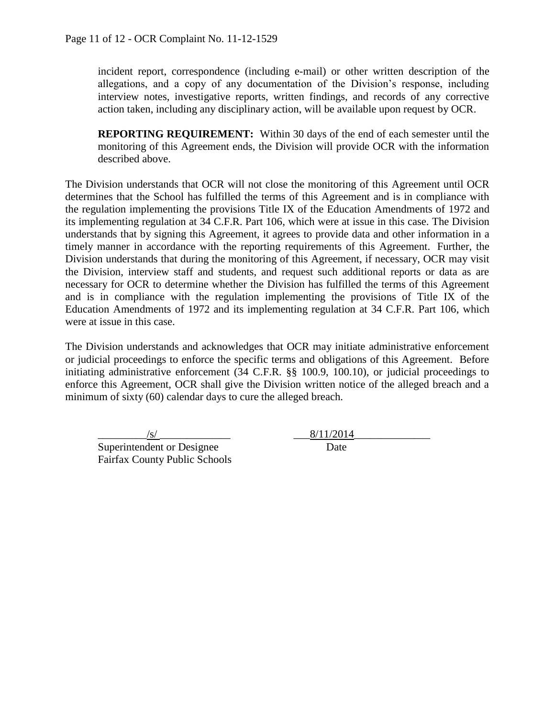incident report, correspondence (including e-mail) or other written description of the allegations, and a copy of any documentation of the Division's response, including interview notes, investigative reports, written findings, and records of any corrective action taken, including any disciplinary action, will be available upon request by OCR.

**REPORTING REQUIREMENT:** Within 30 days of the end of each semester until the monitoring of this Agreement ends, the Division will provide OCR with the information described above.

The Division understands that OCR will not close the monitoring of this Agreement until OCR determines that the School has fulfilled the terms of this Agreement and is in compliance with the regulation implementing the provisions Title IX of the Education Amendments of 1972 and its implementing regulation at 34 C.F.R. Part 106, which were at issue in this case. The Division understands that by signing this Agreement, it agrees to provide data and other information in a timely manner in accordance with the reporting requirements of this Agreement. Further, the Division understands that during the monitoring of this Agreement, if necessary, OCR may visit the Division, interview staff and students, and request such additional reports or data as are necessary for OCR to determine whether the Division has fulfilled the terms of this Agreement and is in compliance with the regulation implementing the provisions of Title IX of the Education Amendments of 1972 and its implementing regulation at 34 C.F.R. Part 106, which were at issue in this case.

The Division understands and acknowledges that OCR may initiate administrative enforcement or judicial proceedings to enforce the specific terms and obligations of this Agreement. Before initiating administrative enforcement (34 C.F.R. §§ 100.9, 100.10), or judicial proceedings to enforce this Agreement, OCR shall give the Division written notice of the alleged breach and a minimum of sixty (60) calendar days to cure the alleged breach.

 $\frac{|S|}{2014}$ Superintendent or Designee Date Fairfax County Public Schools